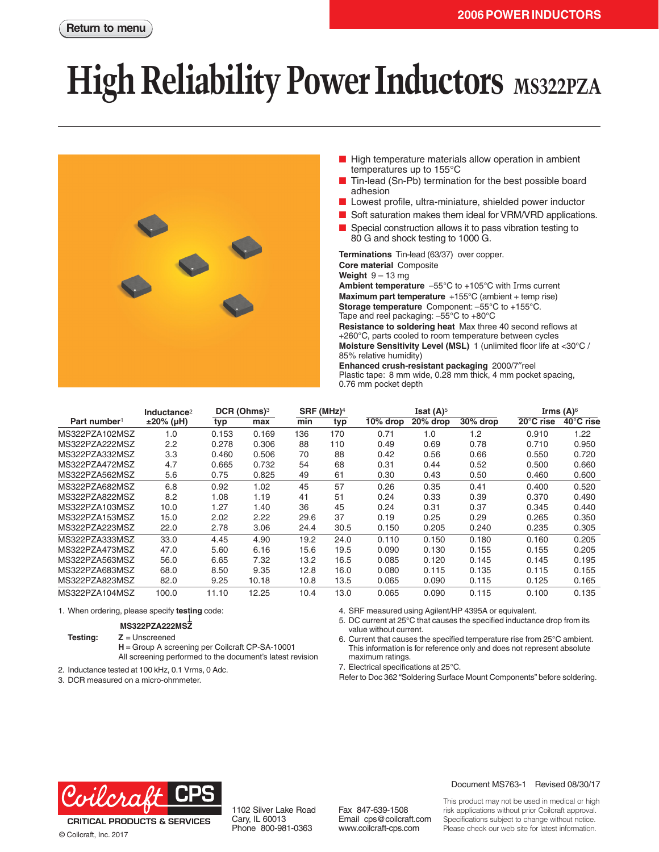# **High Reliability Power Inductors** MS322PZA



- High temperature materials allow operation in ambient temperatures up to 155°C
- Tin-lead (Sn-Pb) termination for the best possible board adhesion
- Lowest profile, ultra-miniature, shielded power inductor
- Soft saturation makes them ideal for VRM/VRD applications.
- Special construction allows it to pass vibration testing to 80 G and shock testing to 1000 G.

**Terminations** Tin-lead (63/37) over copper. **Core material** Composite **Weight** 9 – 13 mg

**Ambient temperature** –55°C to +105°C with Irms current **Maximum part temperature** +155°C (ambient + temp rise) **Storage temperature** Component: –55°C to +155°C. Tape and reel packaging: –55°C to +80°C **Resistance to soldering heat** Max three 40 second reflows at

+260°C, parts cooled to room temperature between cycles **Moisture Sensitivity Level (MSL)** 1 (unlimited floor life at <30°C / 85% relative humidity)

**Enhanced crush-resistant packaging** 2000/7″reel Plastic tape: 8 mm wide, 0.28 mm thick, 4 mm pocket spacing, 0.76 mm pocket depth

| Inductance <sup>2</sup>  |              | DCR (Ohms) <sup>3</sup> |       | SRF (MHz) <sup>4</sup> |      | <b>Isat <math>(A)^5</math></b> |          |          | Irms $(A)^6$ |                     |
|--------------------------|--------------|-------------------------|-------|------------------------|------|--------------------------------|----------|----------|--------------|---------------------|
| Part number <sup>1</sup> | $±20\%$ (µH) | typ                     | max   | min                    | typ  | 10% drop                       | 20% drop | 30% drop | 20°C rise    | $40^{\circ}$ C rise |
| MS322PZA102MSZ           | 1.0          | 0.153                   | 0.169 | 136                    | 170  | 0.71                           | 1.0      | 1.2      | 0.910        | 1.22                |
| MS322PZA222MSZ           | 2.2          | 0.278                   | 0.306 | 88                     | 110  | 0.49                           | 0.69     | 0.78     | 0.710        | 0.950               |
| MS322PZA332MSZ           | 3.3          | 0.460                   | 0.506 | 70                     | 88   | 0.42                           | 0.56     | 0.66     | 0.550        | 0.720               |
| MS322PZA472MSZ           | 4.7          | 0.665                   | 0.732 | 54                     | 68   | 0.31                           | 0.44     | 0.52     | 0.500        | 0.660               |
| MS322PZA562MSZ           | 5.6          | 0.75                    | 0.825 | 49                     | 61   | 0.30                           | 0.43     | 0.50     | 0.460        | 0.600               |
| MS322PZA682MSZ           | 6.8          | 0.92                    | 1.02  | 45                     | 57   | 0.26                           | 0.35     | 0.41     | 0.400        | 0.520               |
| MS322PZA822MSZ           | 8.2          | 1.08                    | 1.19  | 41                     | 51   | 0.24                           | 0.33     | 0.39     | 0.370        | 0.490               |
| MS322PZA103MSZ           | 10.0         | 1.27                    | 1.40  | 36                     | 45   | 0.24                           | 0.31     | 0.37     | 0.345        | 0.440               |
| MS322PZA153MSZ           | 15.0         | 2.02                    | 2.22  | 29.6                   | 37   | 0.19                           | 0.25     | 0.29     | 0.265        | 0.350               |
| MS322PZA223MSZ           | 22.0         | 2.78                    | 3.06  | 24.4                   | 30.5 | 0.150                          | 0.205    | 0.240    | 0.235        | 0.305               |
| MS322PZA333MSZ           | 33.0         | 4.45                    | 4.90  | 19.2                   | 24.0 | 0.110                          | 0.150    | 0.180    | 0.160        | 0.205               |
| MS322PZA473MSZ           | 47.0         | 5.60                    | 6.16  | 15.6                   | 19.5 | 0.090                          | 0.130    | 0.155    | 0.155        | 0.205               |
| MS322PZA563MSZ           | 56.0         | 6.65                    | 7.32  | 13.2                   | 16.5 | 0.085                          | 0.120    | 0.145    | 0.145        | 0.195               |
| MS322PZA683MSZ           | 68.0         | 8.50                    | 9.35  | 12.8                   | 16.0 | 0.080                          | 0.115    | 0.135    | 0.115        | 0.155               |
| MS322PZA823MSZ           | 82.0         | 9.25                    | 10.18 | 10.8                   | 13.5 | 0.065                          | 0.090    | 0.115    | 0.125        | 0.165               |
| MS322PZA104MSZ           | 100.0        | 11.10                   | 12.25 | 10.4                   | 13.0 | 0.065                          | 0.090    | 0.115    | 0.100        | 0.135               |

1. When ordering, please specify **testing** code:

### **MS322PZA222MSZ**

**Testing: Z** = Unscreened

**H** = Group A screening per Coilcraft CP-SA-10001 All screening performed to the document's latest revision

2. Inductance tested at 100 kHz, 0.1 Vrms, 0 Adc.

3. DCR measured on a micro-ohmmeter.

4. SRF measured using Agilent/HP 4395A or equivalent.

5. DC current at 25°C that causes the specified inductance drop from its value without current.

6. Current that causes the specified temperature rise from 25°C ambient. This information is for reference only and does not represent absolute maximum ratings.

7. Electrical specifications at 25°C.

Refer to Doc 362 "Soldering Surface Mount Components" before soldering.



**CRITICAL PRODUCTS & SERVICES** © Coilcraft, Inc. 2017

1102 Silver Lake Road Cary, IL 60013 Phone 800-981-0363

Fax 847-639-1508 Email cps@coilcraft.com www.coilcraft-cps.com

### Document MS763-1 Revised 08/30/17

This product may not be used in medical or high risk applications without prior Coilcraft approval. Specifications subject to change without notice. Please check our web site for latest information.